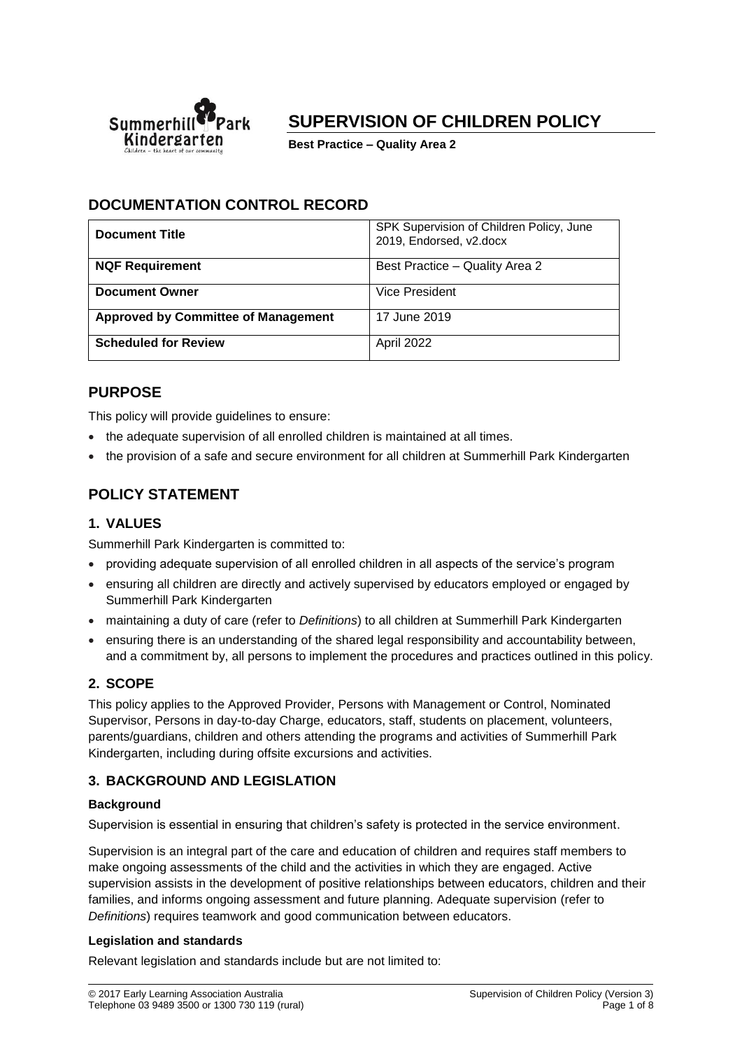

# **SUPERVISION OF CHILDREN POLICY**

**Best Practice – Quality Area 2**

# **DOCUMENTATION CONTROL RECORD**

| <b>Document Title</b>                      | SPK Supervision of Children Policy, June<br>2019, Endorsed, v2.docx |
|--------------------------------------------|---------------------------------------------------------------------|
| <b>NQF Requirement</b>                     | Best Practice - Quality Area 2                                      |
| <b>Document Owner</b>                      | Vice President                                                      |
| <b>Approved by Committee of Management</b> | 17 June 2019                                                        |
| <b>Scheduled for Review</b>                | April 2022                                                          |

### **PURPOSE**

This policy will provide guidelines to ensure:

- the adequate supervision of all enrolled children is maintained at all times.
- the provision of a safe and secure environment for all children at Summerhill Park Kindergarten

### **POLICY STATEMENT**

### **1. VALUES**

Summerhill Park Kindergarten is committed to:

- providing adequate supervision of all enrolled children in all aspects of the service's program
- ensuring all children are directly and actively supervised by educators employed or engaged by Summerhill Park Kindergarten
- maintaining a duty of care (refer to *Definitions*) to all children at Summerhill Park Kindergarten
- ensuring there is an understanding of the shared legal responsibility and accountability between, and a commitment by, all persons to implement the procedures and practices outlined in this policy.

### **2. SCOPE**

This policy applies to the Approved Provider, Persons with Management or Control, Nominated Supervisor, Persons in day-to-day Charge, educators, staff, students on placement, volunteers, parents/guardians, children and others attending the programs and activities of Summerhill Park Kindergarten, including during offsite excursions and activities.

### **3. BACKGROUND AND LEGISLATION**

### **Background**

Supervision is essential in ensuring that children's safety is protected in the service environment.

Supervision is an integral part of the care and education of children and requires staff members to make ongoing assessments of the child and the activities in which they are engaged. Active supervision assists in the development of positive relationships between educators, children and their families, and informs ongoing assessment and future planning. Adequate supervision (refer to *Definitions*) requires teamwork and good communication between educators.

### **Legislation and standards**

Relevant legislation and standards include but are not limited to: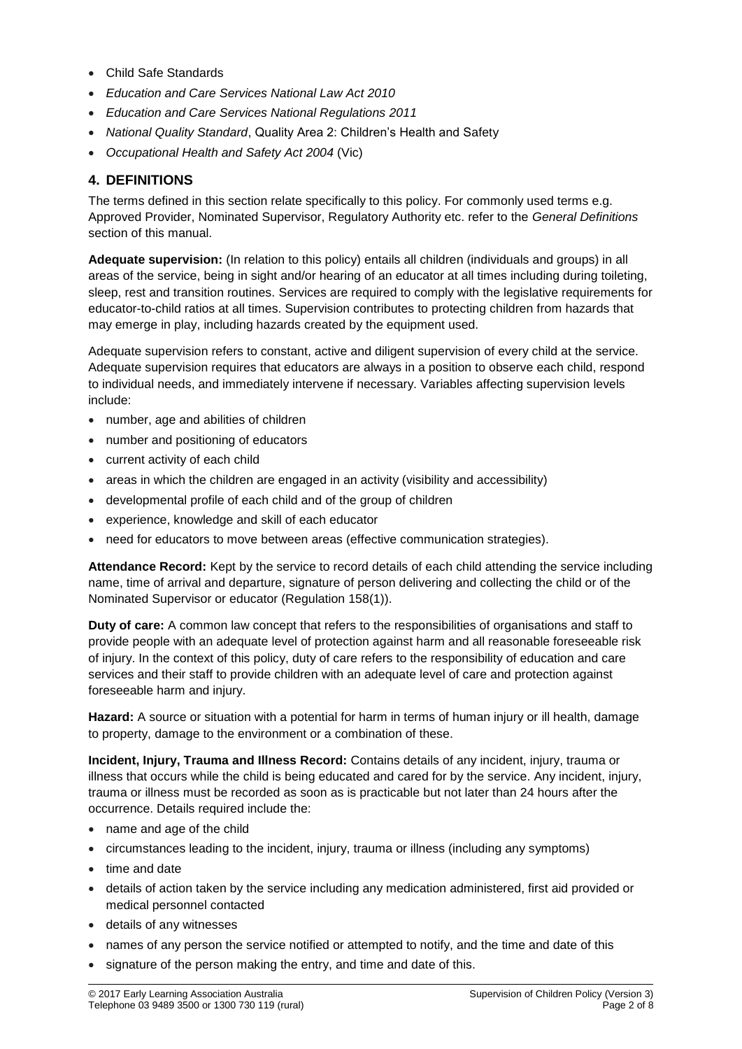- Child Safe Standards
- *Education and Care Services National Law Act 2010*
- *Education and Care Services National Regulations 2011*
- *National Quality Standard*, Quality Area 2: Children's Health and Safety
- *Occupational Health and Safety Act 2004* (Vic)

### **4. DEFINITIONS**

The terms defined in this section relate specifically to this policy. For commonly used terms e.g. Approved Provider, Nominated Supervisor, Regulatory Authority etc. refer to the *General Definitions* section of this manual.

**Adequate supervision:** (In relation to this policy) entails all children (individuals and groups) in all areas of the service, being in sight and/or hearing of an educator at all times including during toileting, sleep, rest and transition routines. Services are required to comply with the legislative requirements for educator-to-child ratios at all times. Supervision contributes to protecting children from hazards that may emerge in play, including hazards created by the equipment used.

Adequate supervision refers to constant, active and diligent supervision of every child at the service. Adequate supervision requires that educators are always in a position to observe each child, respond to individual needs, and immediately intervene if necessary. Variables affecting supervision levels include:

- number, age and abilities of children
- number and positioning of educators
- current activity of each child
- areas in which the children are engaged in an activity (visibility and accessibility)
- developmental profile of each child and of the group of children
- experience, knowledge and skill of each educator
- need for educators to move between areas (effective communication strategies).

**Attendance Record:** Kept by the service to record details of each child attending the service including name, time of arrival and departure, signature of person delivering and collecting the child or of the Nominated Supervisor or educator (Regulation 158(1)).

**Duty of care:** A common law concept that refers to the responsibilities of organisations and staff to provide people with an adequate level of protection against harm and all reasonable foreseeable risk of injury. In the context of this policy, duty of care refers to the responsibility of education and care services and their staff to provide children with an adequate level of care and protection against foreseeable harm and injury.

**Hazard:** A source or situation with a potential for harm in terms of human injury or ill health, damage to property, damage to the environment or a combination of these.

**Incident, Injury, Trauma and Illness Record:** Contains details of any incident, injury, trauma or illness that occurs while the child is being educated and cared for by the service. Any incident, injury, trauma or illness must be recorded as soon as is practicable but not later than 24 hours after the occurrence. Details required include the:

- name and age of the child
- circumstances leading to the incident, injury, trauma or illness (including any symptoms)
- time and date
- details of action taken by the service including any medication administered, first aid provided or medical personnel contacted
- details of any witnesses
- names of any person the service notified or attempted to notify, and the time and date of this
- signature of the person making the entry, and time and date of this.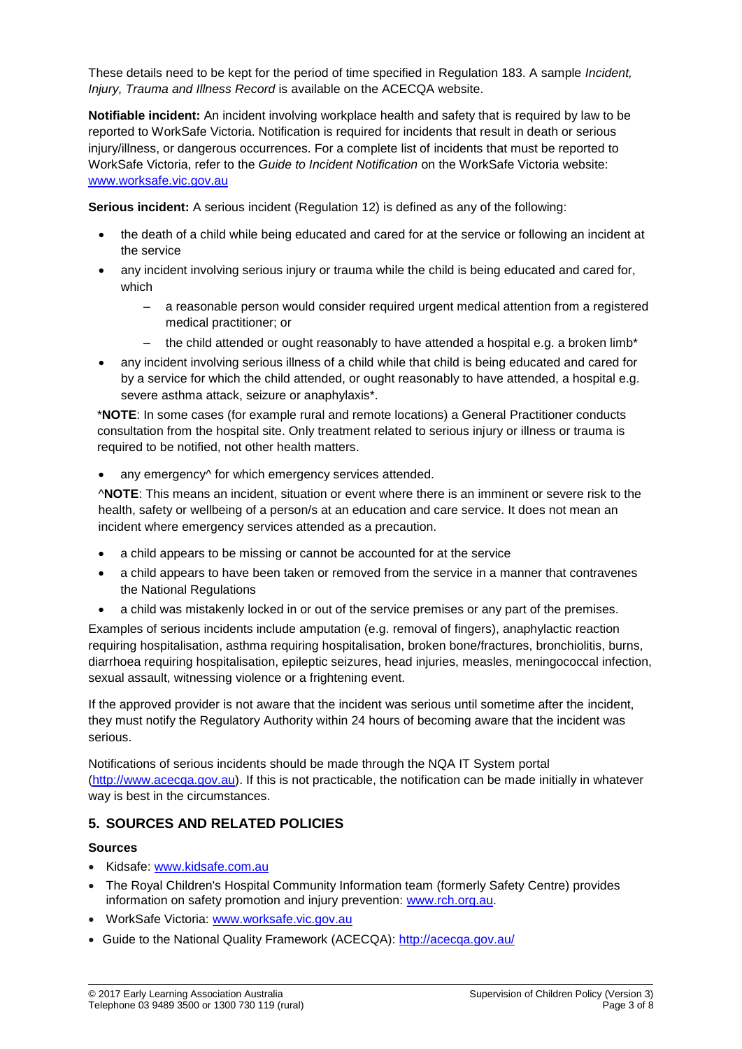These details need to be kept for the period of time specified in Regulation 183. A sample *Incident, Injury, Trauma and Illness Record* is available on the ACECQA website.

**Notifiable incident:** An incident involving workplace health and safety that is required by law to be reported to WorkSafe Victoria. Notification is required for incidents that result in death or serious injury/illness, or dangerous occurrences. For a complete list of incidents that must be reported to WorkSafe Victoria, refer to the *Guide to Incident Notification* on the WorkSafe Victoria website: [www.worksafe.vic.gov.au](http://www.worksafe.vic.gov.au/)

**Serious incident:** A serious incident (Regulation 12) is defined as any of the following:

- the death of a child while being educated and cared for at the service or following an incident at the service
- any incident involving serious injury or trauma while the child is being educated and cared for, which
	- a reasonable person would consider required urgent medical attention from a registered medical practitioner; or
	- the child attended or ought reasonably to have attended a hospital e.g. a broken limb\*
- any incident involving serious illness of a child while that child is being educated and cared for by a service for which the child attended, or ought reasonably to have attended, a hospital e.g. severe asthma attack, seizure or anaphylaxis\*.

\***NOTE**: In some cases (for example rural and remote locations) a General Practitioner conducts consultation from the hospital site. Only treatment related to serious injury or illness or trauma is required to be notified, not other health matters.

any emergency<sup> $\land$ </sup> for which emergency services attended.

^**NOTE**: This means an incident, situation or event where there is an imminent or severe risk to the health, safety or wellbeing of a person/s at an education and care service. It does not mean an incident where emergency services attended as a precaution.

- a child appears to be missing or cannot be accounted for at the service
- a child appears to have been taken or removed from the service in a manner that contravenes the National Regulations
- a child was mistakenly locked in or out of the service premises or any part of the premises.

Examples of serious incidents include amputation (e.g. removal of fingers), anaphylactic reaction requiring hospitalisation, asthma requiring hospitalisation, broken bone/fractures, bronchiolitis, burns, diarrhoea requiring hospitalisation, epileptic seizures, head injuries, measles, meningococcal infection, sexual assault, witnessing violence or a frightening event.

If the approved provider is not aware that the incident was serious until sometime after the incident, they must notify the Regulatory Authority within 24 hours of becoming aware that the incident was serious.

Notifications of serious incidents should be made through the NQA IT System portal [\(http://www.acecqa.gov.au\)](http://www.acecqa.gov.au/). If this is not practicable, the notification can be made initially in whatever way is best in the circumstances.

### **5. SOURCES AND RELATED POLICIES**

#### **Sources**

- Kidsafe: [www.kidsafe.com.au](http://www.kidsafe.com.au/)
- The Royal Children's Hospital Community Information team (formerly Safety Centre) provides information on safety promotion and injury prevention: [www.rch.org.au.](https://www.rch.org.au/home/)
- WorkSafe Victoria: [www.worksafe.vic.gov.au](http://www.worksafe.vic.gov.au/)
- Guide to the National Quality Framework (ACECQA):<http://acecqa.gov.au/>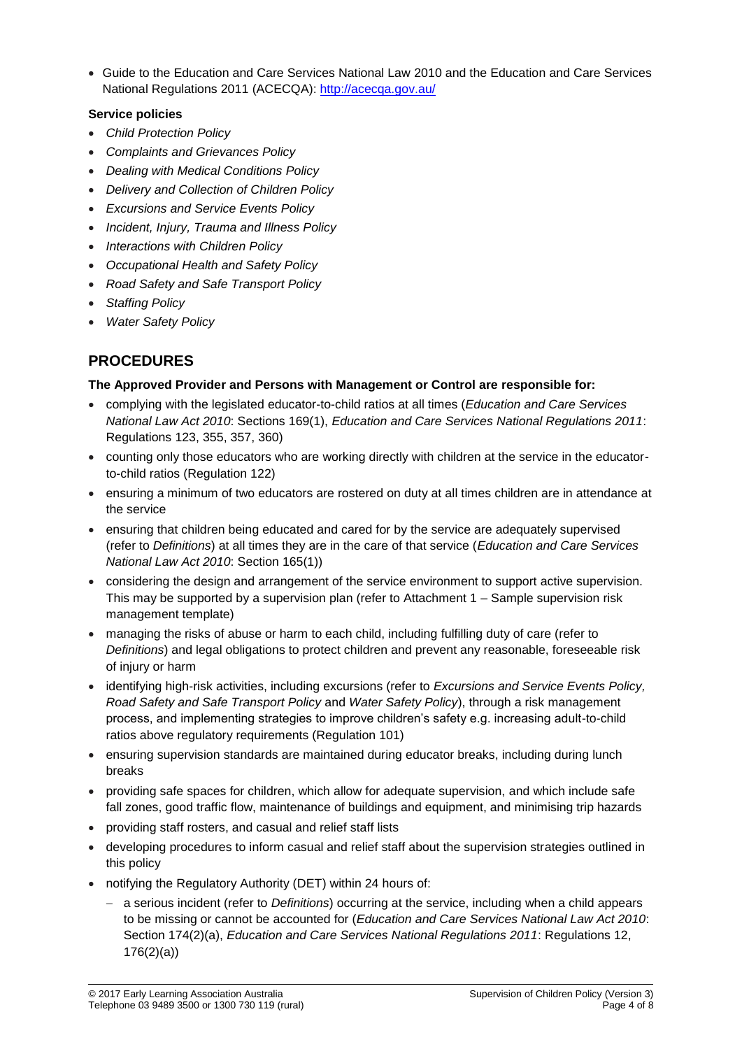• Guide to the Education and Care Services National Law 2010 and the Education and Care Services National Regulations 2011 (ACECQA):<http://acecqa.gov.au/>

### **Service policies**

- *Child Protection Policy*
- *Complaints and Grievances Policy*
- *Dealing with Medical Conditions Policy*
- *Delivery and Collection of Children Policy*
- *Excursions and Service Events Policy*
- *Incident, Injury, Trauma and Illness Policy*
- *Interactions with Children Policy*
- *Occupational Health and Safety Policy*
- *Road Safety and Safe Transport Policy*
- *Staffing Policy*
- *Water Safety Policy*

# **PROCEDURES**

#### **The Approved Provider and Persons with Management or Control are responsible for:**

- complying with the legislated educator-to-child ratios at all times (*Education and Care Services National Law Act 2010*: Sections 169(1), *Education and Care Services National Regulations 2011*: Regulations 123, 355, 357, 360)
- counting only those educators who are working directly with children at the service in the educatorto-child ratios (Regulation 122)
- ensuring a minimum of two educators are rostered on duty at all times children are in attendance at the service
- ensuring that children being educated and cared for by the service are adequately supervised (refer to *Definitions*) at all times they are in the care of that service (*Education and Care Services National Law Act 2010*: Section 165(1))
- considering the design and arrangement of the service environment to support active supervision. This may be supported by a supervision plan (refer to Attachment 1 – Sample supervision risk management template)
- managing the risks of abuse or harm to each child, including fulfilling duty of care (refer to *Definitions*) and legal obligations to protect children and prevent any reasonable, foreseeable risk of injury or harm
- identifying high-risk activities, including excursions (refer to *Excursions and Service Events Policy, Road Safety and Safe Transport Policy* and *Water Safety Policy*), through a risk management process, and implementing strategies to improve children's safety e.g. increasing adult-to-child ratios above regulatory requirements (Regulation 101)
- ensuring supervision standards are maintained during educator breaks, including during lunch breaks
- providing safe spaces for children, which allow for adequate supervision, and which include safe fall zones, good traffic flow, maintenance of buildings and equipment, and minimising trip hazards
- providing staff rosters, and casual and relief staff lists
- developing procedures to inform casual and relief staff about the supervision strategies outlined in this policy
- notifying the Regulatory Authority (DET) within 24 hours of:
	- − a serious incident (refer to *Definitions*) occurring at the service, including when a child appears to be missing or cannot be accounted for (*Education and Care Services National Law Act 2010*: Section 174(2)(a), *Education and Care Services National Regulations 2011*: Regulations 12, 176(2)(a))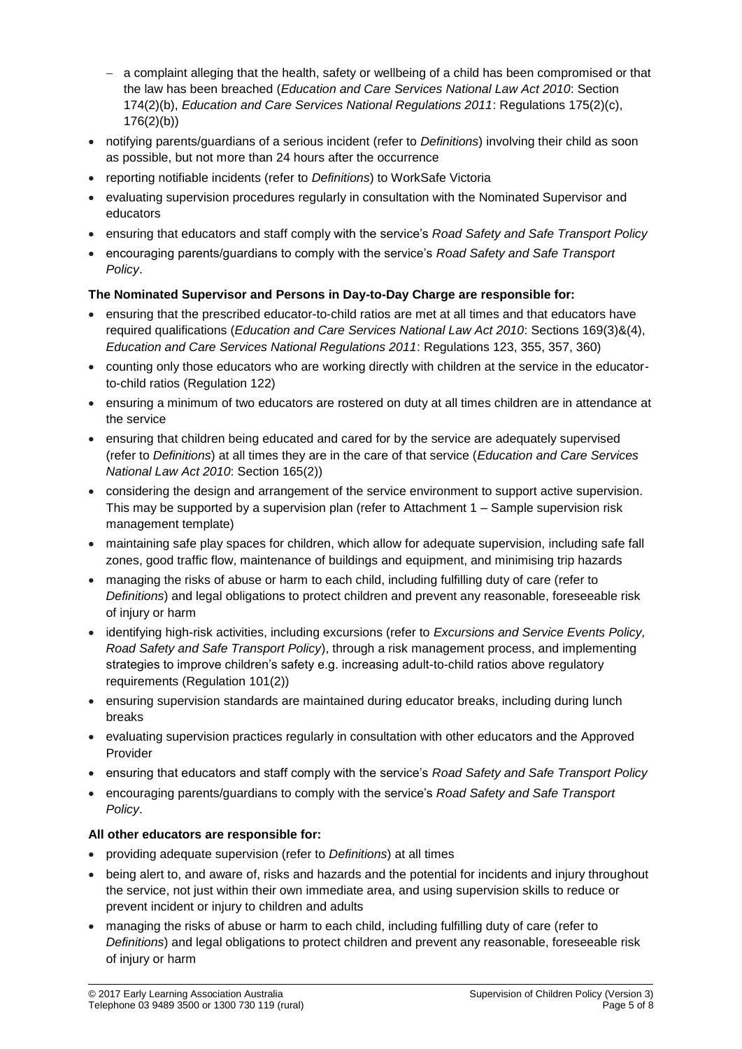- − a complaint alleging that the health, safety or wellbeing of a child has been compromised or that the law has been breached (*Education and Care Services National Law Act 2010*: Section 174(2)(b), *Education and Care Services National Regulations 2011*: Regulations 175(2)(c), 176(2)(b))
- notifying parents/guardians of a serious incident (refer to *Definitions*) involving their child as soon as possible, but not more than 24 hours after the occurrence
- reporting notifiable incidents (refer to *Definitions*) to WorkSafe Victoria
- evaluating supervision procedures regularly in consultation with the Nominated Supervisor and educators
- ensuring that educators and staff comply with the service's *Road Safety and Safe Transport Policy*
- encouraging parents/guardians to comply with the service's *Road Safety and Safe Transport Policy*.

### **The Nominated Supervisor and Persons in Day-to-Day Charge are responsible for:**

- ensuring that the prescribed educator-to-child ratios are met at all times and that educators have required qualifications (*Education and Care Services National Law Act 2010*: Sections 169(3)&(4), *Education and Care Services National Regulations 2011*: Regulations 123, 355, 357, 360)
- counting only those educators who are working directly with children at the service in the educatorto-child ratios (Regulation 122)
- ensuring a minimum of two educators are rostered on duty at all times children are in attendance at the service
- ensuring that children being educated and cared for by the service are adequately supervised (refer to *Definitions*) at all times they are in the care of that service (*Education and Care Services National Law Act 2010*: Section 165(2))
- considering the design and arrangement of the service environment to support active supervision. This may be supported by a supervision plan (refer to Attachment 1 – Sample supervision risk management template)
- maintaining safe play spaces for children, which allow for adequate supervision, including safe fall zones, good traffic flow, maintenance of buildings and equipment, and minimising trip hazards
- managing the risks of abuse or harm to each child, including fulfilling duty of care (refer to *Definitions*) and legal obligations to protect children and prevent any reasonable, foreseeable risk of injury or harm
- identifying high-risk activities, including excursions (refer to *Excursions and Service Events Policy, Road Safety and Safe Transport Policy*), through a risk management process, and implementing strategies to improve children's safety e.g. increasing adult-to-child ratios above regulatory requirements (Regulation 101(2))
- ensuring supervision standards are maintained during educator breaks, including during lunch breaks
- evaluating supervision practices regularly in consultation with other educators and the Approved Provider
- ensuring that educators and staff comply with the service's *Road Safety and Safe Transport Policy*
- encouraging parents/guardians to comply with the service's *Road Safety and Safe Transport Policy*.

### **All other educators are responsible for:**

- providing adequate supervision (refer to *Definitions*) at all times
- being alert to, and aware of, risks and hazards and the potential for incidents and injury throughout the service, not just within their own immediate area, and using supervision skills to reduce or prevent incident or injury to children and adults
- managing the risks of abuse or harm to each child, including fulfilling duty of care (refer to *Definitions*) and legal obligations to protect children and prevent any reasonable, foreseeable risk of injury or harm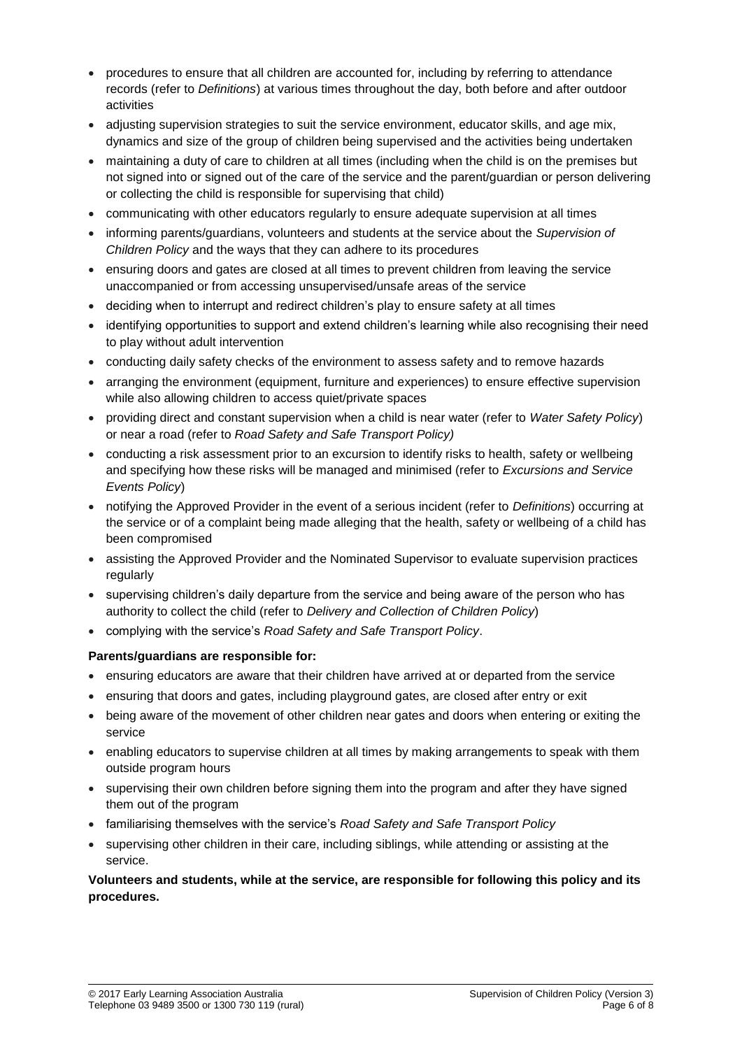- procedures to ensure that all children are accounted for, including by referring to attendance records (refer to *Definitions*) at various times throughout the day, both before and after outdoor activities
- adjusting supervision strategies to suit the service environment, educator skills, and age mix, dynamics and size of the group of children being supervised and the activities being undertaken
- maintaining a duty of care to children at all times (including when the child is on the premises but not signed into or signed out of the care of the service and the parent/guardian or person delivering or collecting the child is responsible for supervising that child)
- communicating with other educators regularly to ensure adequate supervision at all times
- informing parents/guardians, volunteers and students at the service about the *Supervision of Children Policy* and the ways that they can adhere to its procedures
- ensuring doors and gates are closed at all times to prevent children from leaving the service unaccompanied or from accessing unsupervised/unsafe areas of the service
- deciding when to interrupt and redirect children's play to ensure safety at all times
- identifying opportunities to support and extend children's learning while also recognising their need to play without adult intervention
- conducting daily safety checks of the environment to assess safety and to remove hazards
- arranging the environment (equipment, furniture and experiences) to ensure effective supervision while also allowing children to access quiet/private spaces
- providing direct and constant supervision when a child is near water (refer to *Water Safety Policy*) or near a road (refer to *Road Safety and Safe Transport Policy)*
- conducting a risk assessment prior to an excursion to identify risks to health, safety or wellbeing and specifying how these risks will be managed and minimised (refer to *Excursions and Service Events Policy*)
- notifying the Approved Provider in the event of a serious incident (refer to *Definitions*) occurring at the service or of a complaint being made alleging that the health, safety or wellbeing of a child has been compromised
- assisting the Approved Provider and the Nominated Supervisor to evaluate supervision practices regularly
- supervising children's daily departure from the service and being aware of the person who has authority to collect the child (refer to *Delivery and Collection of Children Policy*)
- complying with the service's *Road Safety and Safe Transport Policy*.

### **Parents/guardians are responsible for:**

- ensuring educators are aware that their children have arrived at or departed from the service
- ensuring that doors and gates, including playground gates, are closed after entry or exit
- being aware of the movement of other children near gates and doors when entering or exiting the service
- enabling educators to supervise children at all times by making arrangements to speak with them outside program hours
- supervising their own children before signing them into the program and after they have signed them out of the program
- familiarising themselves with the service's *Road Safety and Safe Transport Policy*
- supervising other children in their care, including siblings, while attending or assisting at the service.

#### **Volunteers and students, while at the service, are responsible for following this policy and its procedures.**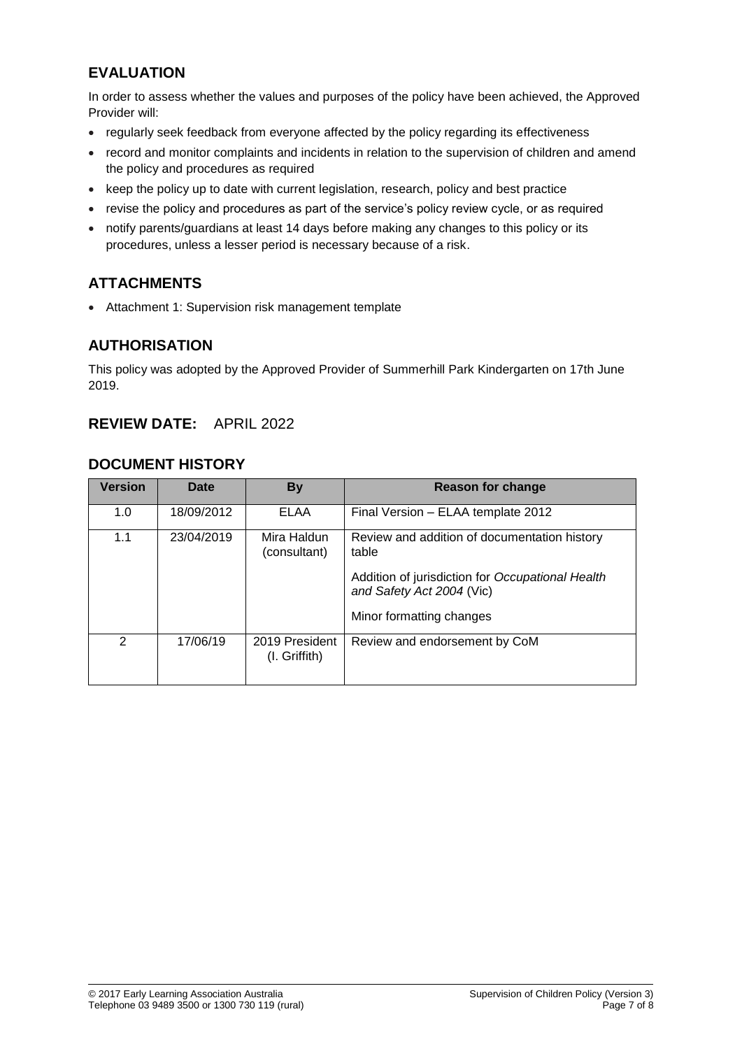# **EVALUATION**

In order to assess whether the values and purposes of the policy have been achieved, the Approved Provider will:

- regularly seek feedback from everyone affected by the policy regarding its effectiveness
- record and monitor complaints and incidents in relation to the supervision of children and amend the policy and procedures as required
- keep the policy up to date with current legislation, research, policy and best practice
- revise the policy and procedures as part of the service's policy review cycle, or as required
- notify parents/guardians at least 14 days before making any changes to this policy or its procedures, unless a lesser period is necessary because of a risk.

# **ATTACHMENTS**

• Attachment 1: Supervision risk management template

# **AUTHORISATION**

This policy was adopted by the Approved Provider of Summerhill Park Kindergarten on 17th June 2019.

# **REVIEW DATE:** APRIL 2022

### **DOCUMENT HISTORY**

| <b>Version</b> | Date       | <b>By</b>                            | Reason for change                                                             |
|----------------|------------|--------------------------------------|-------------------------------------------------------------------------------|
| 1.0            | 18/09/2012 | ELAA                                 | Final Version - ELAA template 2012                                            |
| 1.1            | 23/04/2019 | Mira Haldun<br>(consultant)          | Review and addition of documentation history<br>table                         |
|                |            |                                      | Addition of jurisdiction for Occupational Health<br>and Safety Act 2004 (Vic) |
|                |            |                                      | Minor formatting changes                                                      |
| $\mathcal{P}$  | 17/06/19   | 2019 President<br>$(I.$ Griffith $)$ | Review and endorsement by CoM                                                 |